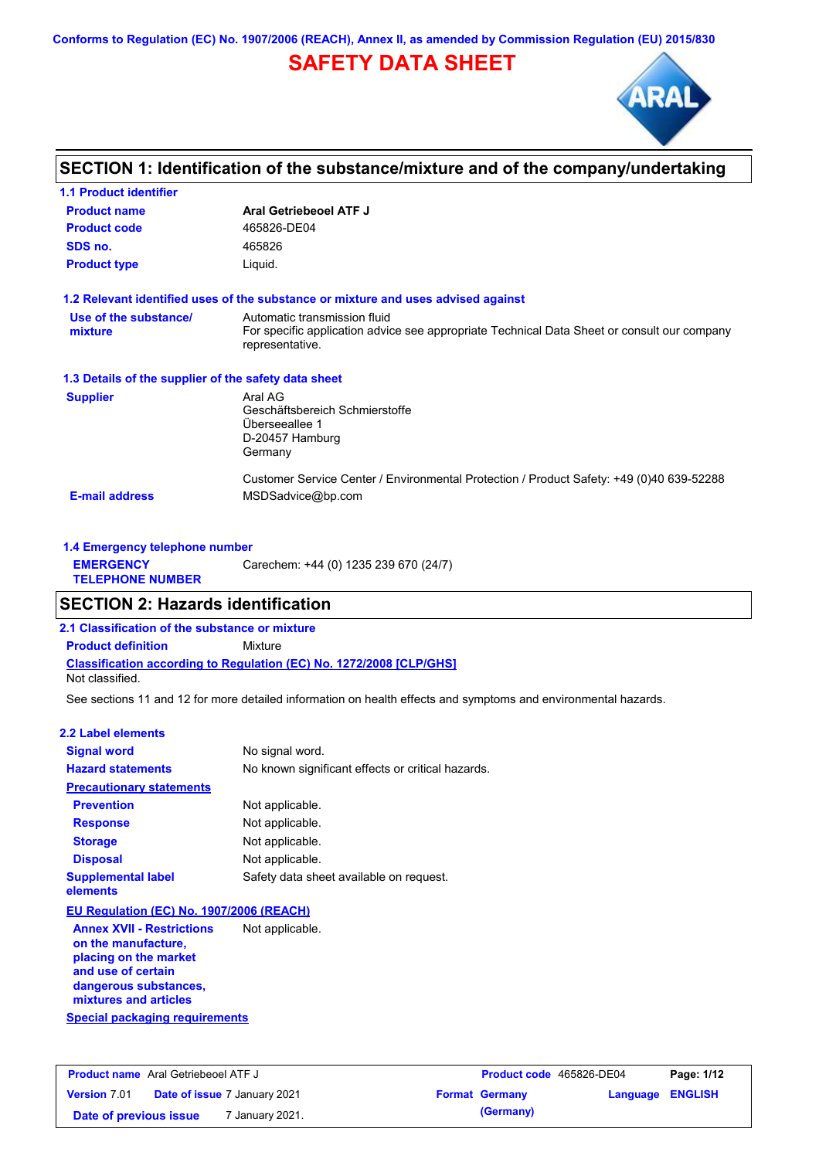**Conforms to Regulation (EC) No. 1907/2006 (REACH), Annex II, as amended by Commission Regulation (EU) 2015/830**

# **SAFETY DATA SHEET**



## **SECTION 1: Identification of the substance/mixture and of the company/undertaking**

| <b>1.1 Product identifier</b>                        |                                                                                                                                                |
|------------------------------------------------------|------------------------------------------------------------------------------------------------------------------------------------------------|
| <b>Product name</b>                                  | Aral Getriebeoel ATF J                                                                                                                         |
| <b>Product code</b>                                  | 465826-DE04                                                                                                                                    |
| SDS no.                                              | 465826                                                                                                                                         |
| <b>Product type</b>                                  | Liquid.                                                                                                                                        |
|                                                      | 1.2 Relevant identified uses of the substance or mixture and uses advised against                                                              |
| Use of the substance/<br>mixture                     | Automatic transmission fluid<br>For specific application advice see appropriate Technical Data Sheet or consult our company<br>representative. |
| 1.3 Details of the supplier of the safety data sheet |                                                                                                                                                |
| <b>Supplier</b>                                      | Aral AG<br>Geschäftsbereich Schmierstoffe<br>Überseeallee 1<br>D-20457 Hamburg<br>Germany                                                      |
| <b>E-mail address</b>                                | Customer Service Center / Environmental Protection / Product Safety: +49 (0)40 639-52288<br>MSDSadvice@bp.com                                  |

| 1.4 Emergency telephone number              |                                       |  |  |  |
|---------------------------------------------|---------------------------------------|--|--|--|
| <b>EMERGENCY</b><br><b>TELEPHONE NUMBER</b> | Carechem: +44 (0) 1235 239 670 (24/7) |  |  |  |

## **SECTION 2: Hazards identification**

**2.1 Classification of the substance or mixture**

**Classification according to Regulation (EC) No. 1272/2008 [CLP/GHS] Product definition** Mixture

Not classified.

See sections 11 and 12 for more detailed information on health effects and symptoms and environmental hazards.

#### **2.2 Label elements**

| <b>Signal word</b>                                         | No signal word.                                   |
|------------------------------------------------------------|---------------------------------------------------|
| <b>Hazard statements</b>                                   | No known significant effects or critical hazards. |
| <b>Precautionary statements</b>                            |                                                   |
| <b>Prevention</b>                                          | Not applicable.                                   |
| <b>Response</b>                                            | Not applicable.                                   |
| <b>Storage</b>                                             | Not applicable.                                   |
| <b>Disposal</b>                                            | Not applicable.                                   |
| <b>Supplemental label</b><br>elements                      | Safety data sheet available on request.           |
| EU Regulation (EC) No. 1907/2006 (REACH)                   |                                                   |
| <b>Annex XVII - Restrictions</b><br>an Alaa naan sadaabsoo | Not applicable.                                   |

**Special packaging requirements on the manufacture, placing on the market and use of certain dangerous substances, mixtures and articles**

| <b>Product name</b> Aral Getriebeoel ATF J |                                     | <b>Product code</b> 465826-DE04 |                       | Page: 1/12              |  |
|--------------------------------------------|-------------------------------------|---------------------------------|-----------------------|-------------------------|--|
| <b>Version 7.01</b>                        | <b>Date of issue 7 January 2021</b> |                                 | <b>Format Germany</b> | <b>Language ENGLISH</b> |  |
| Date of previous issue                     | ' January 2021.                     |                                 | (Germany)             |                         |  |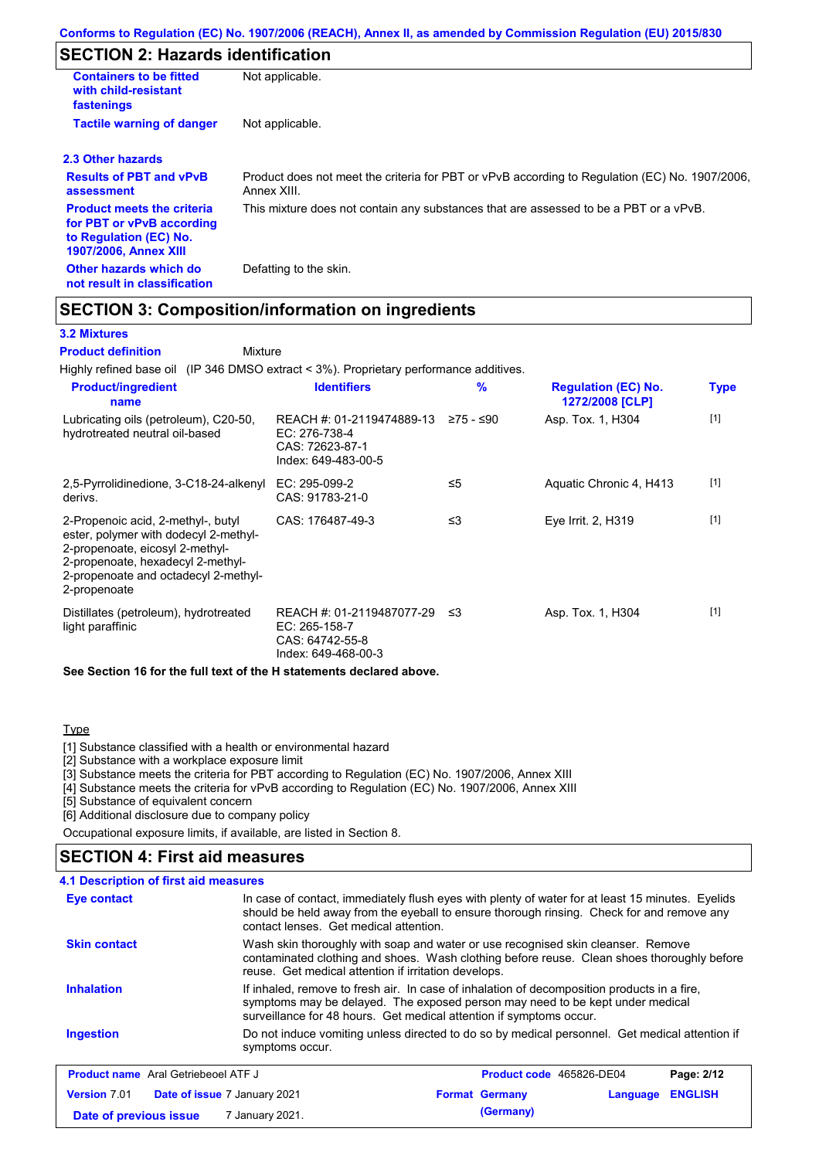# **SECTION 2: Hazards identification**

| <b>Containers to be fitted</b><br>with child-resistant<br>fastenings                                                     | Not applicable.                                                                                               |
|--------------------------------------------------------------------------------------------------------------------------|---------------------------------------------------------------------------------------------------------------|
| <b>Tactile warning of danger</b>                                                                                         | Not applicable.                                                                                               |
| 2.3 Other hazards                                                                                                        |                                                                                                               |
| <b>Results of PBT and vPvB</b><br>assessment                                                                             | Product does not meet the criteria for PBT or vPvB according to Regulation (EC) No. 1907/2006,<br>Annex XIII. |
| <b>Product meets the criteria</b><br>for PBT or vPvB according<br>to Regulation (EC) No.<br><b>1907/2006, Annex XIII</b> | This mixture does not contain any substances that are assessed to be a PBT or a vPvB.                         |
| Other hazards which do<br>not result in classification                                                                   | Defatting to the skin.                                                                                        |

## **SECTION 3: Composition/information on ingredients**

Mixture

#### **3.2 Mixtures**

#### **Product definition**

Highly refined base oil (IP 346 DMSO extract < 3%). Proprietary performance additives.

| <b>Product/ingredient</b><br>name                                                                                                                                                                           | <b>Identifiers</b>                                                                   | $\frac{9}{6}$ | <b>Regulation (EC) No.</b><br>1272/2008 [CLP] | <b>Type</b> |
|-------------------------------------------------------------------------------------------------------------------------------------------------------------------------------------------------------------|--------------------------------------------------------------------------------------|---------------|-----------------------------------------------|-------------|
| Lubricating oils (petroleum), C20-50,<br>hydrotreated neutral oil-based                                                                                                                                     | REACH #: 01-2119474889-13<br>EC: 276-738-4<br>CAS: 72623-87-1<br>Index: 649-483-00-5 | ≥75 - ≤90     | Asp. Tox. 1, H304                             | $[1]$       |
| 2,5-Pyrrolidinedione, 3-C18-24-alkenyl<br>derivs.                                                                                                                                                           | EC: 295-099-2<br>CAS: 91783-21-0                                                     | ≤5            | Aquatic Chronic 4, H413                       | $[1]$       |
| 2-Propenoic acid, 2-methyl-, butyl<br>ester, polymer with dodecyl 2-methyl-<br>2-propenoate, eicosyl 2-methyl-<br>2-propenoate, hexadecyl 2-methyl-<br>2-propenoate and octadecyl 2-methyl-<br>2-propenoate | CAS: 176487-49-3                                                                     | ≤3            | Eye Irrit. 2, H319                            | $[1]$       |
| Distillates (petroleum), hydrotreated<br>light paraffinic                                                                                                                                                   | REACH #: 01-2119487077-29<br>EC: 265-158-7<br>CAS: 64742-55-8<br>Index: 649-468-00-3 | ב≥            | Asp. Tox. 1, H304                             | $[1]$       |
| See Section 16 for the full text of the H statements declared above.                                                                                                                                        |                                                                                      |               |                                               |             |

#### **Type**

[1] Substance classified with a health or environmental hazard

[2] Substance with a workplace exposure limit

[3] Substance meets the criteria for PBT according to Regulation (EC) No. 1907/2006, Annex XIII

[4] Substance meets the criteria for vPvB according to Regulation (EC) No. 1907/2006, Annex XIII

[5] Substance of equivalent concern

[6] Additional disclosure due to company policy

Occupational exposure limits, if available, are listed in Section 8.

## **SECTION 4: First aid measures**

#### **4.1 Description of first aid measures**

| Eye contact                                                | In case of contact, immediately flush eyes with plenty of water for at least 15 minutes. Eyelids<br>should be held away from the eyeball to ensure thorough rinsing. Check for and remove any<br>contact lenses. Get medical attention.             |                          |          |                |
|------------------------------------------------------------|-----------------------------------------------------------------------------------------------------------------------------------------------------------------------------------------------------------------------------------------------------|--------------------------|----------|----------------|
| <b>Skin contact</b>                                        | Wash skin thoroughly with soap and water or use recognised skin cleanser. Remove<br>contaminated clothing and shoes. Wash clothing before reuse. Clean shoes thoroughly before<br>reuse. Get medical attention if irritation develops.              |                          |          |                |
| <b>Inhalation</b>                                          | If inhaled, remove to fresh air. In case of inhalation of decomposition products in a fire,<br>symptoms may be delayed. The exposed person may need to be kept under medical<br>surveillance for 48 hours. Get medical attention if symptoms occur. |                          |          |                |
| <b>Ingestion</b>                                           | Do not induce vomiting unless directed to do so by medical personnel. Get medical attention if<br>symptoms occur.                                                                                                                                   |                          |          |                |
| <b>Product name</b> Aral Getriebeoel ATF J                 |                                                                                                                                                                                                                                                     | Product code 465826-DE04 |          | Page: 2/12     |
| <b>Version 7.01</b><br><b>Date of issue 7 January 2021</b> |                                                                                                                                                                                                                                                     | <b>Format Germany</b>    | Language | <b>ENGLISH</b> |
| Date of previous issue                                     | 7 January 2021.                                                                                                                                                                                                                                     | (Germany)                |          |                |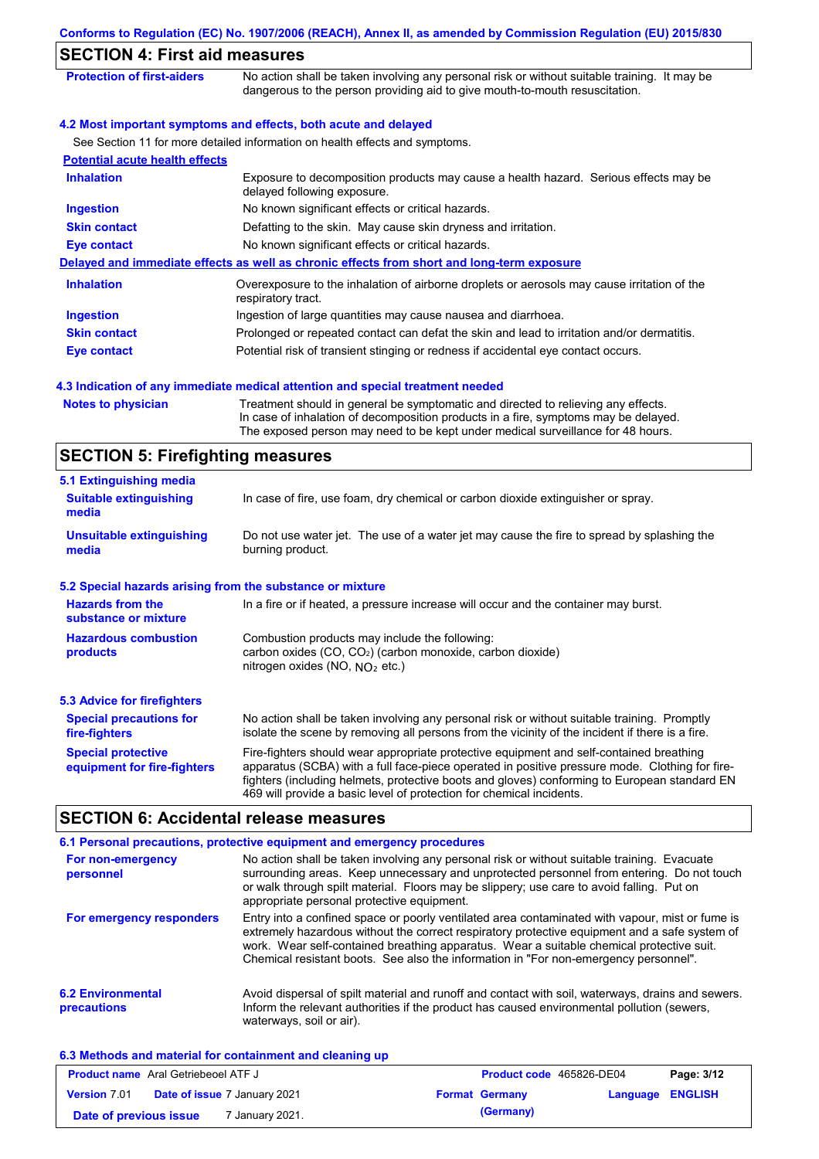|                                         | Conforms to Regulation (EC) No. 1907/2006 (REACH), Annex II, as amended by Commission Regulation (EU) 2015/830                                                                                                                                              |
|-----------------------------------------|-------------------------------------------------------------------------------------------------------------------------------------------------------------------------------------------------------------------------------------------------------------|
| <b>SECTION 4: First aid measures</b>    |                                                                                                                                                                                                                                                             |
| <b>Protection of first-aiders</b>       | No action shall be taken involving any personal risk or without suitable training. It may be<br>dangerous to the person providing aid to give mouth-to-mouth resuscitation.                                                                                 |
|                                         | 4.2 Most important symptoms and effects, both acute and delayed                                                                                                                                                                                             |
|                                         | See Section 11 for more detailed information on health effects and symptoms.                                                                                                                                                                                |
| <b>Potential acute health effects</b>   |                                                                                                                                                                                                                                                             |
| <b>Inhalation</b>                       | Exposure to decomposition products may cause a health hazard. Serious effects may be<br>delayed following exposure.                                                                                                                                         |
| <b>Ingestion</b>                        | No known significant effects or critical hazards.                                                                                                                                                                                                           |
| <b>Skin contact</b>                     | Defatting to the skin. May cause skin dryness and irritation.                                                                                                                                                                                               |
| <b>Eye contact</b>                      | No known significant effects or critical hazards.                                                                                                                                                                                                           |
|                                         | Delayed and immediate effects as well as chronic effects from short and long-term exposure                                                                                                                                                                  |
| <b>Inhalation</b>                       | Overexposure to the inhalation of airborne droplets or aerosols may cause irritation of the<br>respiratory tract.                                                                                                                                           |
| <b>Ingestion</b>                        | Ingestion of large quantities may cause nausea and diarrhoea.                                                                                                                                                                                               |
| <b>Skin contact</b>                     | Prolonged or repeated contact can defat the skin and lead to irritation and/or dermatitis.                                                                                                                                                                  |
| <b>Eye contact</b>                      | Potential risk of transient stinging or redness if accidental eye contact occurs.                                                                                                                                                                           |
|                                         | 4.3 Indication of any immediate medical attention and special treatment needed                                                                                                                                                                              |
| <b>Notes to physician</b>               | Treatment should in general be symptomatic and directed to relieving any effects.<br>In case of inhalation of decomposition products in a fire, symptoms may be delayed.<br>The exposed person may need to be kept under medical surveillance for 48 hours. |
| <b>SECTION 5: Firefighting measures</b> |                                                                                                                                                                                                                                                             |
| 5.1 Extinguishing media                 |                                                                                                                                                                                                                                                             |
| <b>Suitable extinguishing</b><br>media  | In case of fire, use foam, dry chemical or carbon dioxide extinguisher or spray.                                                                                                                                                                            |
|                                         | Do not use water jet. The use of a water jet may cause the fire to spread by splashing the                                                                                                                                                                  |

| <b>Hazards from the</b><br>substance or mixture          | In a fire or if heated, a pressure increase will occur and the container may burst.                                                                                                                                                                                                       |
|----------------------------------------------------------|-------------------------------------------------------------------------------------------------------------------------------------------------------------------------------------------------------------------------------------------------------------------------------------------|
| <b>Hazardous combustion</b><br>products                  | Combustion products may include the following:<br>carbon oxides (CO, CO <sub>2</sub> ) (carbon monoxide, carbon dioxide)<br>nitrogen oxides (NO, $N_O$ , etc.)                                                                                                                            |
| <b>5.3 Advice for firefighters</b>                       |                                                                                                                                                                                                                                                                                           |
| <b>Special precautions for</b><br>fire-fighters          | No action shall be taken involving any personal risk or without suitable training. Promptly<br>isolate the scene by removing all persons from the vicinity of the incident if there is a fire.                                                                                            |
| <b>Special protective</b><br>equipment for fire-fighters | Fire-fighters should wear appropriate protective equipment and self-contained breathing<br>apparatus (SCBA) with a full face-piece operated in positive pressure mode. Clothing for fire-<br>fighters (including helmets, protective boots and gloves) conforming to European standard EN |

# **SECTION 6: Accidental release measures**

|                                         | 6.1 Personal precautions, protective equipment and emergency procedures                                                                                                                                                                                                                                                                                                              |
|-----------------------------------------|--------------------------------------------------------------------------------------------------------------------------------------------------------------------------------------------------------------------------------------------------------------------------------------------------------------------------------------------------------------------------------------|
| For non-emergency<br>personnel          | No action shall be taken involving any personal risk or without suitable training. Evacuate<br>surrounding areas. Keep unnecessary and unprotected personnel from entering. Do not touch<br>or walk through spilt material. Floors may be slippery; use care to avoid falling. Put on<br>appropriate personal protective equipment.                                                  |
| For emergency responders                | Entry into a confined space or poorly ventilated area contaminated with vapour, mist or fume is<br>extremely hazardous without the correct respiratory protective equipment and a safe system of<br>work. Wear self-contained breathing apparatus. Wear a suitable chemical protective suit.<br>Chemical resistant boots. See also the information in "For non-emergency personnel". |
| <b>6.2 Environmental</b><br>precautions | Avoid dispersal of spilt material and runoff and contact with soil, waterways, drains and sewers.<br>Inform the relevant authorities if the product has caused environmental pollution (sewers,<br>waterways, soil or air).                                                                                                                                                          |

469 will provide a basic level of protection for chemical incidents.

| 6.3 Methods and material for containment and cleaning up |  |
|----------------------------------------------------------|--|
| <b>Product name</b> Aral Getriebeoel ATF J               |  |

| <b>Product name</b> Aral Getriebeoel ATF J |  | <b>Product code</b> 465826-DE04     |  | Page: 3/12            |                         |  |
|--------------------------------------------|--|-------------------------------------|--|-----------------------|-------------------------|--|
| <b>Version 7.01</b>                        |  | <b>Date of issue 7 January 2021</b> |  | <b>Format Germany</b> | <b>Language ENGLISH</b> |  |
| Date of previous issue                     |  | <sup>7</sup> January 2021.          |  | (Germany)             |                         |  |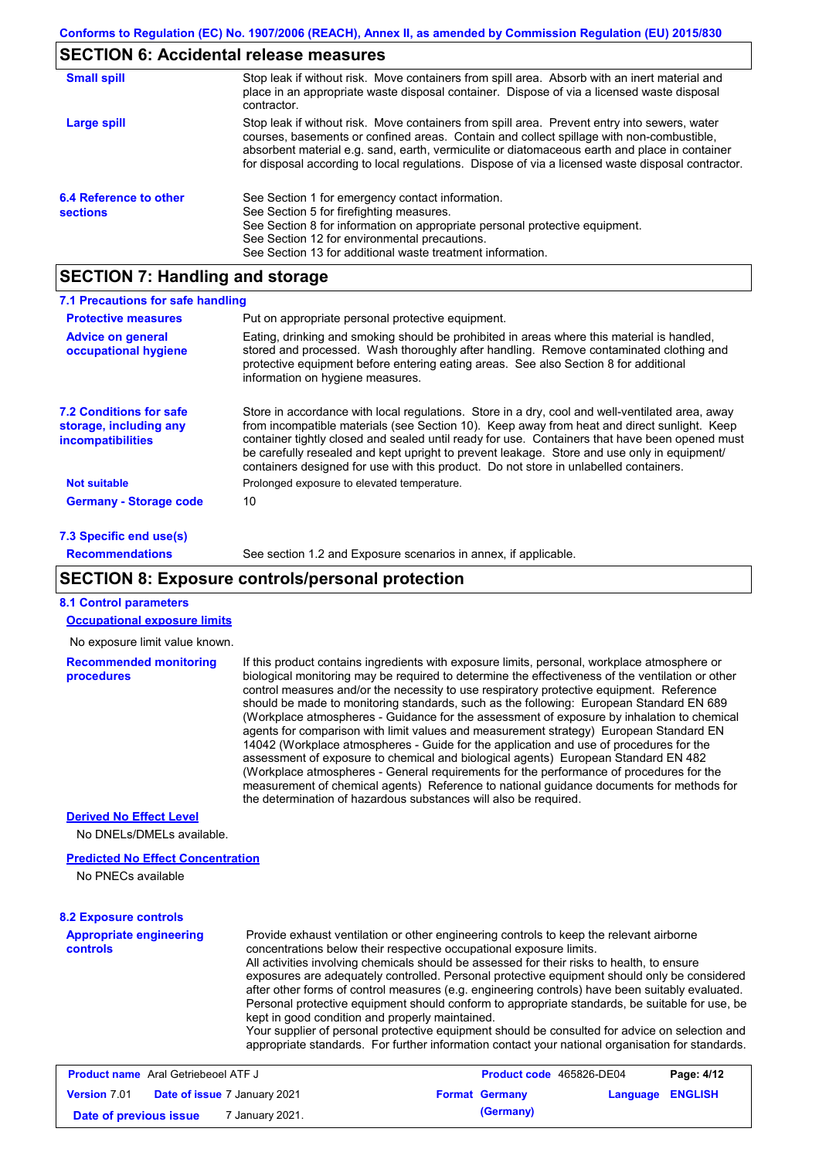# **SECTION 6: Accidental release measures**

| <b>Small spill</b>                        | Stop leak if without risk. Move containers from spill area. Absorb with an inert material and<br>place in an appropriate waste disposal container. Dispose of via a licensed waste disposal<br>contractor.                                                                                                                                                                                     |
|-------------------------------------------|------------------------------------------------------------------------------------------------------------------------------------------------------------------------------------------------------------------------------------------------------------------------------------------------------------------------------------------------------------------------------------------------|
| Large spill                               | Stop leak if without risk. Move containers from spill area. Prevent entry into sewers, water<br>courses, basements or confined areas. Contain and collect spillage with non-combustible,<br>absorbent material e.g. sand, earth, vermiculite or diatomaceous earth and place in container<br>for disposal according to local regulations. Dispose of via a licensed waste disposal contractor. |
| 6.4 Reference to other<br><b>sections</b> | See Section 1 for emergency contact information.<br>See Section 5 for firefighting measures.<br>See Section 8 for information on appropriate personal protective equipment.<br>See Section 12 for environmental precautions.<br>See Section 13 for additional waste treatment information.                                                                                                     |

# **SECTION 7: Handling and storage**

| 7.1 Precautions for safe handling                                                    |                                                                                                                                                                                                                                                                                                                                                                                                                                                                                          |
|--------------------------------------------------------------------------------------|------------------------------------------------------------------------------------------------------------------------------------------------------------------------------------------------------------------------------------------------------------------------------------------------------------------------------------------------------------------------------------------------------------------------------------------------------------------------------------------|
| <b>Protective measures</b>                                                           | Put on appropriate personal protective equipment.                                                                                                                                                                                                                                                                                                                                                                                                                                        |
| <b>Advice on general</b><br>occupational hygiene                                     | Eating, drinking and smoking should be prohibited in areas where this material is handled.<br>stored and processed. Wash thoroughly after handling. Remove contaminated clothing and<br>protective equipment before entering eating areas. See also Section 8 for additional<br>information on hygiene measures.                                                                                                                                                                         |
| <b>7.2 Conditions for safe</b><br>storage, including any<br><i>incompatibilities</i> | Store in accordance with local requiations. Store in a dry, cool and well-ventilated area, away<br>from incompatible materials (see Section 10). Keep away from heat and direct sunlight. Keep<br>container tightly closed and sealed until ready for use. Containers that have been opened must<br>be carefully resealed and kept upright to prevent leakage. Store and use only in equipment/<br>containers designed for use with this product. Do not store in unlabelled containers. |
| <b>Not suitable</b>                                                                  | Prolonged exposure to elevated temperature.                                                                                                                                                                                                                                                                                                                                                                                                                                              |
| <b>Germany - Storage code</b>                                                        | 10                                                                                                                                                                                                                                                                                                                                                                                                                                                                                       |
| <b>7.3 Specific end use(s)</b>                                                       |                                                                                                                                                                                                                                                                                                                                                                                                                                                                                          |

```
80.3 Specific end u
Recommendations
```
See section 1.2 and Exposure scenarios in annex, if applicable.

## **SECTION 8: Exposure controls/personal protection**

**Date of previous issue** 7 January 2021. (Germany)

| <b>8.1 Control parameters</b>                       |                                                                                                                                                                                                                                                                                                                                                                                                                                                                                                                                                                                                                                                                                                                                                                                                                                                                                                                                                                                                                            |                          |          |                |
|-----------------------------------------------------|----------------------------------------------------------------------------------------------------------------------------------------------------------------------------------------------------------------------------------------------------------------------------------------------------------------------------------------------------------------------------------------------------------------------------------------------------------------------------------------------------------------------------------------------------------------------------------------------------------------------------------------------------------------------------------------------------------------------------------------------------------------------------------------------------------------------------------------------------------------------------------------------------------------------------------------------------------------------------------------------------------------------------|--------------------------|----------|----------------|
| <b>Occupational exposure limits</b>                 |                                                                                                                                                                                                                                                                                                                                                                                                                                                                                                                                                                                                                                                                                                                                                                                                                                                                                                                                                                                                                            |                          |          |                |
| No exposure limit value known.                      |                                                                                                                                                                                                                                                                                                                                                                                                                                                                                                                                                                                                                                                                                                                                                                                                                                                                                                                                                                                                                            |                          |          |                |
| <b>Recommended monitoring</b><br>procedures         | If this product contains ingredients with exposure limits, personal, workplace atmosphere or<br>biological monitoring may be required to determine the effectiveness of the ventilation or other<br>control measures and/or the necessity to use respiratory protective equipment. Reference<br>should be made to monitoring standards, such as the following: European Standard EN 689<br>(Workplace atmospheres - Guidance for the assessment of exposure by inhalation to chemical<br>agents for comparison with limit values and measurement strategy) European Standard EN<br>14042 (Workplace atmospheres - Guide for the application and use of procedures for the<br>assessment of exposure to chemical and biological agents) European Standard EN 482<br>(Workplace atmospheres - General requirements for the performance of procedures for the<br>measurement of chemical agents) Reference to national quidance documents for methods for<br>the determination of hazardous substances will also be required. |                          |          |                |
| <b>Derived No Effect Level</b>                      |                                                                                                                                                                                                                                                                                                                                                                                                                                                                                                                                                                                                                                                                                                                                                                                                                                                                                                                                                                                                                            |                          |          |                |
| No DNELs/DMELs available.                           |                                                                                                                                                                                                                                                                                                                                                                                                                                                                                                                                                                                                                                                                                                                                                                                                                                                                                                                                                                                                                            |                          |          |                |
| <b>Predicted No Effect Concentration</b>            |                                                                                                                                                                                                                                                                                                                                                                                                                                                                                                                                                                                                                                                                                                                                                                                                                                                                                                                                                                                                                            |                          |          |                |
| No PNECs available                                  |                                                                                                                                                                                                                                                                                                                                                                                                                                                                                                                                                                                                                                                                                                                                                                                                                                                                                                                                                                                                                            |                          |          |                |
| <b>8.2 Exposure controls</b>                        |                                                                                                                                                                                                                                                                                                                                                                                                                                                                                                                                                                                                                                                                                                                                                                                                                                                                                                                                                                                                                            |                          |          |                |
| <b>Appropriate engineering</b><br>controls          | Provide exhaust ventilation or other engineering controls to keep the relevant airborne<br>concentrations below their respective occupational exposure limits.<br>All activities involving chemicals should be assessed for their risks to health, to ensure<br>exposures are adequately controlled. Personal protective equipment should only be considered<br>after other forms of control measures (e.g. engineering controls) have been suitably evaluated.<br>Personal protective equipment should conform to appropriate standards, be suitable for use, be<br>kept in good condition and properly maintained.<br>Your supplier of personal protective equipment should be consulted for advice on selection and<br>appropriate standards. For further information contact your national organisation for standards.                                                                                                                                                                                                 |                          |          |                |
| <b>Product name</b> Aral Getriebeoel ATF J          |                                                                                                                                                                                                                                                                                                                                                                                                                                                                                                                                                                                                                                                                                                                                                                                                                                                                                                                                                                                                                            | Product code 465826-DE04 |          | Page: 4/12     |
| Date of issue 7 January 2021<br><b>Version</b> 7.01 |                                                                                                                                                                                                                                                                                                                                                                                                                                                                                                                                                                                                                                                                                                                                                                                                                                                                                                                                                                                                                            | <b>Format Germany</b>    | Language | <b>ENGLISH</b> |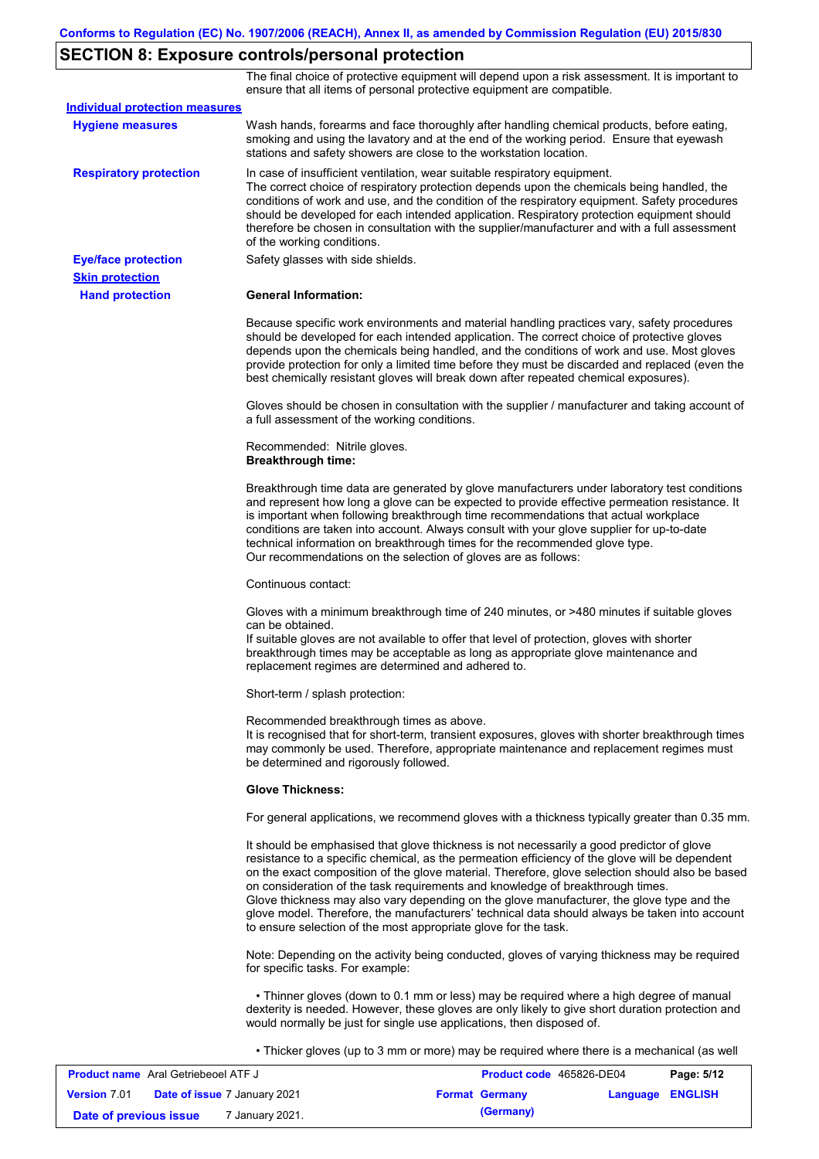# **SECTION 8: Exposure controls/personal protection**

The final choice of protective equipment will depend upon a risk assessment. It is important to ensure that all items of personal protective equipment are compatible.

| <b>Individual protection measures</b> |                                                                                                                                                                                                                                                                                                                                                                                                                                                                                                                                                                                                                                                   |
|---------------------------------------|---------------------------------------------------------------------------------------------------------------------------------------------------------------------------------------------------------------------------------------------------------------------------------------------------------------------------------------------------------------------------------------------------------------------------------------------------------------------------------------------------------------------------------------------------------------------------------------------------------------------------------------------------|
| <b>Hygiene measures</b>               | Wash hands, forearms and face thoroughly after handling chemical products, before eating,<br>smoking and using the lavatory and at the end of the working period. Ensure that eyewash<br>stations and safety showers are close to the workstation location.                                                                                                                                                                                                                                                                                                                                                                                       |
| <b>Respiratory protection</b>         | In case of insufficient ventilation, wear suitable respiratory equipment.<br>The correct choice of respiratory protection depends upon the chemicals being handled, the<br>conditions of work and use, and the condition of the respiratory equipment. Safety procedures<br>should be developed for each intended application. Respiratory protection equipment should<br>therefore be chosen in consultation with the supplier/manufacturer and with a full assessment<br>of the working conditions.                                                                                                                                             |
| <b>Eye/face protection</b>            | Safety glasses with side shields.                                                                                                                                                                                                                                                                                                                                                                                                                                                                                                                                                                                                                 |
| <b>Skin protection</b>                |                                                                                                                                                                                                                                                                                                                                                                                                                                                                                                                                                                                                                                                   |
| <b>Hand protection</b>                | <b>General Information:</b>                                                                                                                                                                                                                                                                                                                                                                                                                                                                                                                                                                                                                       |
|                                       | Because specific work environments and material handling practices vary, safety procedures<br>should be developed for each intended application. The correct choice of protective gloves<br>depends upon the chemicals being handled, and the conditions of work and use. Most gloves<br>provide protection for only a limited time before they must be discarded and replaced (even the<br>best chemically resistant gloves will break down after repeated chemical exposures).                                                                                                                                                                  |
|                                       | Gloves should be chosen in consultation with the supplier / manufacturer and taking account of<br>a full assessment of the working conditions.                                                                                                                                                                                                                                                                                                                                                                                                                                                                                                    |
|                                       | Recommended: Nitrile gloves.<br><b>Breakthrough time:</b>                                                                                                                                                                                                                                                                                                                                                                                                                                                                                                                                                                                         |
|                                       | Breakthrough time data are generated by glove manufacturers under laboratory test conditions<br>and represent how long a glove can be expected to provide effective permeation resistance. It<br>is important when following breakthrough time recommendations that actual workplace<br>conditions are taken into account. Always consult with your glove supplier for up-to-date<br>technical information on breakthrough times for the recommended glove type.<br>Our recommendations on the selection of gloves are as follows:                                                                                                                |
|                                       | Continuous contact:                                                                                                                                                                                                                                                                                                                                                                                                                                                                                                                                                                                                                               |
|                                       | Gloves with a minimum breakthrough time of 240 minutes, or >480 minutes if suitable gloves<br>can be obtained.<br>If suitable gloves are not available to offer that level of protection, gloves with shorter<br>breakthrough times may be acceptable as long as appropriate glove maintenance and<br>replacement regimes are determined and adhered to.                                                                                                                                                                                                                                                                                          |
|                                       | Short-term / splash protection:                                                                                                                                                                                                                                                                                                                                                                                                                                                                                                                                                                                                                   |
|                                       | Recommended breakthrough times as above.<br>It is recognised that for short-term, transient exposures, gloves with shorter breakthrough times<br>may commonly be used. Therefore, appropriate maintenance and replacement regimes must<br>be determined and rigorously followed.                                                                                                                                                                                                                                                                                                                                                                  |
|                                       | <b>Glove Thickness:</b>                                                                                                                                                                                                                                                                                                                                                                                                                                                                                                                                                                                                                           |
|                                       | For general applications, we recommend gloves with a thickness typically greater than 0.35 mm.                                                                                                                                                                                                                                                                                                                                                                                                                                                                                                                                                    |
|                                       | It should be emphasised that glove thickness is not necessarily a good predictor of glove<br>resistance to a specific chemical, as the permeation efficiency of the glove will be dependent<br>on the exact composition of the glove material. Therefore, glove selection should also be based<br>on consideration of the task requirements and knowledge of breakthrough times.<br>Glove thickness may also vary depending on the glove manufacturer, the glove type and the<br>glove model. Therefore, the manufacturers' technical data should always be taken into account<br>to ensure selection of the most appropriate glove for the task. |
|                                       | Note: Depending on the activity being conducted, gloves of varying thickness may be required<br>for specific tasks. For example:                                                                                                                                                                                                                                                                                                                                                                                                                                                                                                                  |
|                                       | • Thinner gloves (down to 0.1 mm or less) may be required where a high degree of manual<br>dexterity is needed. However, these gloves are only likely to give short duration protection and<br>would normally be just for single use applications, then disposed of.                                                                                                                                                                                                                                                                                                                                                                              |
|                                       | • Thicker gloves (up to 3 mm or more) may be required where there is a mechanical (as well                                                                                                                                                                                                                                                                                                                                                                                                                                                                                                                                                        |

| <b>Product name</b> Aral Getriebeoel ATF J                 | Product code 465826-DE04 |                         | Page: 5/12 |
|------------------------------------------------------------|--------------------------|-------------------------|------------|
| <b>Version 7.01</b><br><b>Date of issue 7 January 2021</b> | <b>Format Germany</b>    | <b>Language ENGLISH</b> |            |
| <sup>7</sup> January 2021.<br>Date of previous issue       | (Germany)                |                         |            |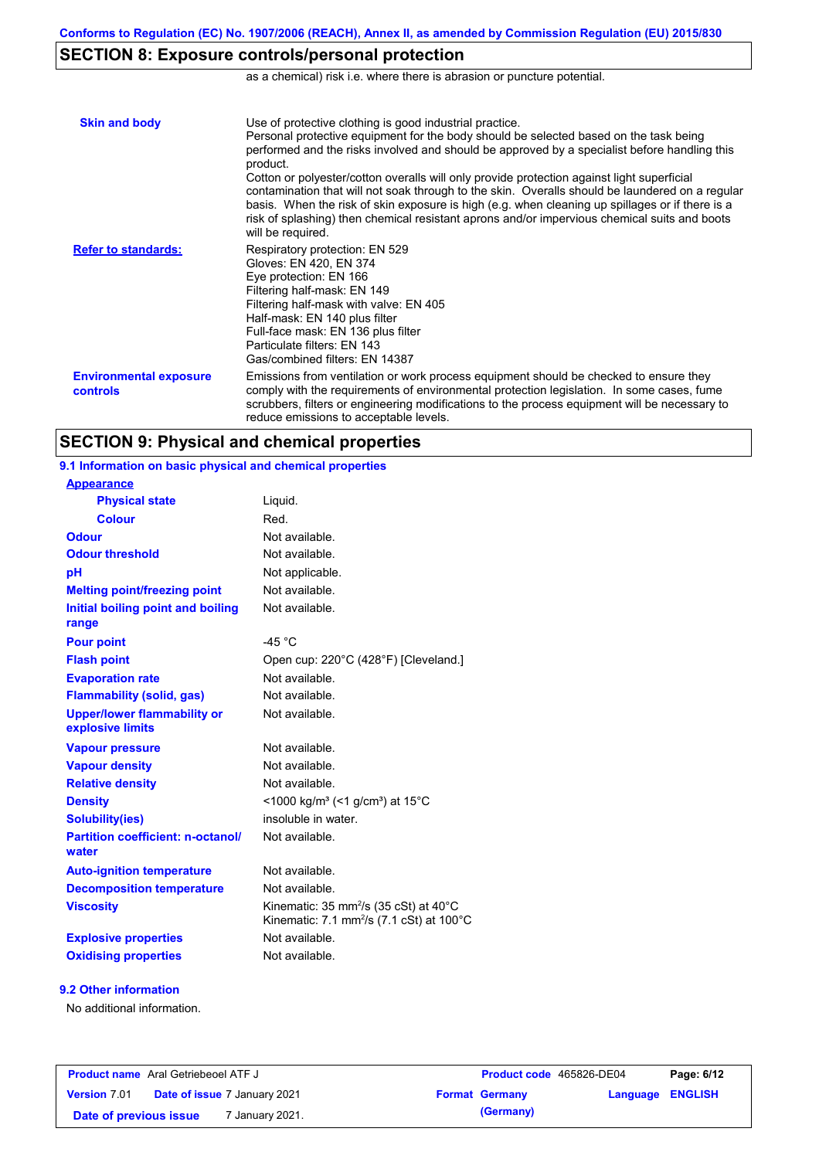## **SECTION 8: Exposure controls/personal protection**

as a chemical) risk i.e. where there is abrasion or puncture potential.

| <b>Skin and body</b>                      | Use of protective clothing is good industrial practice.<br>Personal protective equipment for the body should be selected based on the task being<br>performed and the risks involved and should be approved by a specialist before handling this<br>product.<br>Cotton or polyester/cotton overalls will only provide protection against light superficial<br>contamination that will not soak through to the skin. Overalls should be laundered on a regular<br>basis. When the risk of skin exposure is high (e.g. when cleaning up spillages or if there is a<br>risk of splashing) then chemical resistant aprons and/or impervious chemical suits and boots<br>will be required. |
|-------------------------------------------|---------------------------------------------------------------------------------------------------------------------------------------------------------------------------------------------------------------------------------------------------------------------------------------------------------------------------------------------------------------------------------------------------------------------------------------------------------------------------------------------------------------------------------------------------------------------------------------------------------------------------------------------------------------------------------------|
| <b>Refer to standards:</b>                | Respiratory protection: EN 529<br>Gloves: EN 420, EN 374<br>Eye protection: EN 166<br>Filtering half-mask: EN 149<br>Filtering half-mask with valve: EN 405<br>Half-mask: EN 140 plus filter<br>Full-face mask: EN 136 plus filter<br>Particulate filters: EN 143<br>Gas/combined filters: EN 14387                                                                                                                                                                                                                                                                                                                                                                                   |
| <b>Environmental exposure</b><br>controls | Emissions from ventilation or work process equipment should be checked to ensure they<br>comply with the requirements of environmental protection legislation. In some cases, fume<br>scrubbers, filters or engineering modifications to the process equipment will be necessary to<br>reduce emissions to acceptable levels.                                                                                                                                                                                                                                                                                                                                                         |

### **SECTION 9: Physical and chemical properties**

**9.1 Information on basic physical and chemical properties**

Not available. **Physical state Melting point/freezing point Initial boiling point and boiling range Vapour pressure Relative density Vapour density** Liquid. Not available. Not available. Not available. Not available. **Odour** Not available. **pH Colour** Red. **Evaporation rate** Not available. **Auto-ignition temperature Flash point** Not available. Open cup: 220°C (428°F) [Cleveland.] Not available. Not available. Not available. Not applicable. **Viscosity Kinematic: 35 mm²/s (35 cSt) at 40°C** Kinematic: 7.1 mm<sup>2</sup>/s (7.1 cSt) at 100 $^{\circ}$ C **Odour threshold** Not available. **Partition coefficient: n-octanol/ water Upper/lower flammability or explosive limits Explosive properties Oxidising properties** Not available. **Appearance Decomposition temperature** Not available. **Flammability (solid, gas)** Not available. **Pour point**  $-45^{\circ}$ C **Density** <1000 kg/m<sup>3</sup> (<1 g/cm<sup>3</sup>) at 15°C **Solubility(ies)** insoluble in water.

#### **9.2 Other information**

No additional information.

| <b>Product name</b> Aral Getriebeoel ATF J |                                     | <b>Product code</b> 465826-DE04 |                       | Page: 6/12       |  |
|--------------------------------------------|-------------------------------------|---------------------------------|-----------------------|------------------|--|
| <b>Version 7.01</b>                        | <b>Date of issue 7 January 2021</b> |                                 | <b>Format Germany</b> | Language ENGLISH |  |
| Date of previous issue                     | <sup>7</sup> January 2021.          |                                 | (Germany)             |                  |  |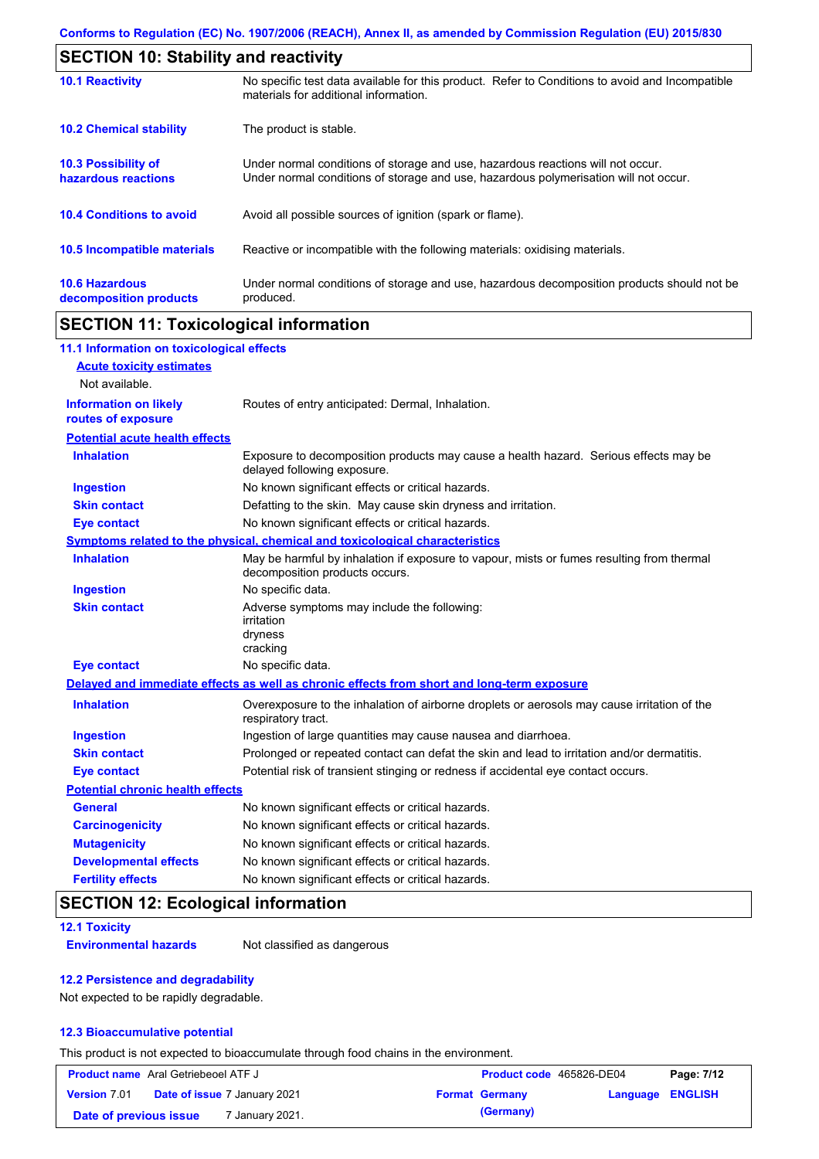| <b>SECTION 10: Stability and reactivity</b>     |                                                                                                                                                                         |  |  |
|-------------------------------------------------|-------------------------------------------------------------------------------------------------------------------------------------------------------------------------|--|--|
| <b>10.1 Reactivity</b>                          | No specific test data available for this product. Refer to Conditions to avoid and Incompatible<br>materials for additional information.                                |  |  |
| <b>10.2 Chemical stability</b>                  | The product is stable.                                                                                                                                                  |  |  |
| 10.3 Possibility of<br>hazardous reactions      | Under normal conditions of storage and use, hazardous reactions will not occur.<br>Under normal conditions of storage and use, hazardous polymerisation will not occur. |  |  |
| <b>10.4 Conditions to avoid</b>                 | Avoid all possible sources of ignition (spark or flame).                                                                                                                |  |  |
| <b>10.5 Incompatible materials</b>              | Reactive or incompatible with the following materials: oxidising materials.                                                                                             |  |  |
| <b>10.6 Hazardous</b><br>decomposition products | Under normal conditions of storage and use, hazardous decomposition products should not be<br>produced.                                                                 |  |  |

## **SECTION 11: Toxicological information**

| 11.1 Information on toxicological effects          |                                                                                                                             |
|----------------------------------------------------|-----------------------------------------------------------------------------------------------------------------------------|
| <b>Acute toxicity estimates</b>                    |                                                                                                                             |
| Not available.                                     |                                                                                                                             |
| <b>Information on likely</b><br>routes of exposure | Routes of entry anticipated: Dermal, Inhalation.                                                                            |
| <b>Potential acute health effects</b>              |                                                                                                                             |
| <b>Inhalation</b>                                  | Exposure to decomposition products may cause a health hazard. Serious effects may be<br>delayed following exposure.         |
| <b>Ingestion</b>                                   | No known significant effects or critical hazards.                                                                           |
| <b>Skin contact</b>                                | Defatting to the skin. May cause skin dryness and irritation.                                                               |
| <b>Eye contact</b>                                 | No known significant effects or critical hazards.                                                                           |
|                                                    | Symptoms related to the physical, chemical and toxicological characteristics                                                |
| <b>Inhalation</b>                                  | May be harmful by inhalation if exposure to vapour, mists or fumes resulting from thermal<br>decomposition products occurs. |
| <b>Ingestion</b>                                   | No specific data.                                                                                                           |
| <b>Skin contact</b>                                | Adverse symptoms may include the following:<br>irritation<br>dryness<br>cracking                                            |
| <b>Eye contact</b>                                 | No specific data.                                                                                                           |
|                                                    | Delayed and immediate effects as well as chronic effects from short and long-term exposure                                  |
| <b>Inhalation</b>                                  | Overexposure to the inhalation of airborne droplets or aerosols may cause irritation of the<br>respiratory tract.           |
| <b>Ingestion</b>                                   | Ingestion of large quantities may cause nausea and diarrhoea.                                                               |
| <b>Skin contact</b>                                | Prolonged or repeated contact can defat the skin and lead to irritation and/or dermatitis.                                  |
| <b>Eye contact</b>                                 | Potential risk of transient stinging or redness if accidental eye contact occurs.                                           |
| <b>Potential chronic health effects</b>            |                                                                                                                             |
| <b>General</b>                                     | No known significant effects or critical hazards.                                                                           |
| <b>Carcinogenicity</b>                             | No known significant effects or critical hazards.                                                                           |
| <b>Mutagenicity</b>                                | No known significant effects or critical hazards.                                                                           |
| <b>Developmental effects</b>                       | No known significant effects or critical hazards.                                                                           |
| <b>Fertility effects</b>                           | No known significant effects or critical hazards.                                                                           |

# **SECTION 12: Ecological information**

#### **12.1 Toxicity**

**Environmental hazards** Not classified as dangerous

#### **12.2 Persistence and degradability**

Not expected to be rapidly degradable.

#### **12.3 Bioaccumulative potential**

This product is not expected to bioaccumulate through food chains in the environment.

| <b>Product name</b> Aral Getriebeoel ATF J |  | Product code 465826-DE04            |  | Page: 7/12            |                         |  |
|--------------------------------------------|--|-------------------------------------|--|-----------------------|-------------------------|--|
| <b>Version 7.01</b>                        |  | <b>Date of issue 7 January 2021</b> |  | <b>Format Germany</b> | <b>Language ENGLISH</b> |  |
| Date of previous issue                     |  | ' January 2021.                     |  | (Germany)             |                         |  |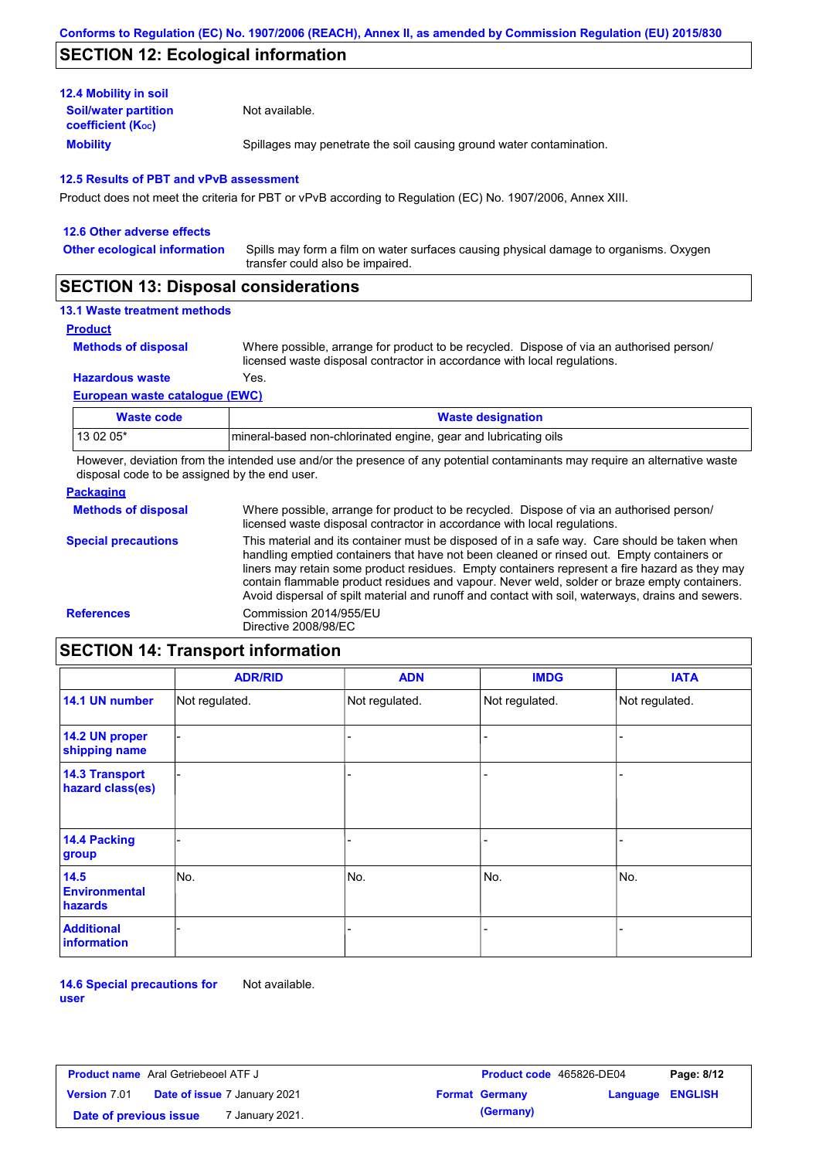## **SECTION 12: Ecological information**

| <b>12.4 Mobility in soil</b>                            |                                                                      |
|---------------------------------------------------------|----------------------------------------------------------------------|
| <b>Soil/water partition</b><br><b>coefficient (Koc)</b> | Not available.                                                       |
| <b>Mobility</b>                                         | Spillages may penetrate the soil causing ground water contamination. |

#### **12.5 Results of PBT and vPvB assessment**

Product does not meet the criteria for PBT or vPvB according to Regulation (EC) No. 1907/2006, Annex XIII.

| 12.6 Other adverse effects          |                                                                                                                           |
|-------------------------------------|---------------------------------------------------------------------------------------------------------------------------|
| <b>Other ecological information</b> | Spills may form a film on water surfaces causing physical damage to organisms. Oxygen<br>transfer could also be impaired. |
| $- - - - - - - - - - - - - -$       |                                                                                                                           |

## **SECTION 13: Disposal considerations**

### **13.1 Waste treatment methods**

**Product**

```
Methods of disposal
```
Where possible, arrange for product to be recycled. Dispose of via an authorised person/ licensed waste disposal contractor in accordance with local regulations.

**Hazardous waste** Yes.

#### **European waste catalogue (EWC)**

| Waste code | <b>Waste designation</b>                                        |
|------------|-----------------------------------------------------------------|
| 13 02 05*  | mineral-based non-chlorinated engine, gear and lubricating oils |

However, deviation from the intended use and/or the presence of any potential contaminants may require an alternative waste disposal code to be assigned by the end user.

#### **Packaging**

| <b>Methods of disposal</b> | Where possible, arrange for product to be recycled. Dispose of via an authorised person/<br>licensed waste disposal contractor in accordance with local regulations.                                                                                                                                                                                                                                                                                                                            |
|----------------------------|-------------------------------------------------------------------------------------------------------------------------------------------------------------------------------------------------------------------------------------------------------------------------------------------------------------------------------------------------------------------------------------------------------------------------------------------------------------------------------------------------|
| <b>Special precautions</b> | This material and its container must be disposed of in a safe way. Care should be taken when<br>handling emptied containers that have not been cleaned or rinsed out. Empty containers or<br>liners may retain some product residues. Empty containers represent a fire hazard as they may<br>contain flammable product residues and vapour. Never weld, solder or braze empty containers.<br>Avoid dispersal of spilt material and runoff and contact with soil, waterways, drains and sewers. |
| <b>References</b>          | Commission 2014/955/EU<br>Directive 2008/98/EC                                                                                                                                                                                                                                                                                                                                                                                                                                                  |

# **SECTION 14: Transport information**

|                                           | <b>ADR/RID</b> | <b>ADN</b>     | <b>IMDG</b>    | <b>IATA</b>    |  |
|-------------------------------------------|----------------|----------------|----------------|----------------|--|
| 14.1 UN number                            | Not regulated. | Not regulated. | Not regulated. | Not regulated. |  |
| 14.2 UN proper<br>shipping name           |                |                |                |                |  |
| <b>14.3 Transport</b><br>hazard class(es) |                |                |                |                |  |
| 14.4 Packing<br>group                     |                |                | ۰              |                |  |
| 14.5<br><b>Environmental</b><br>hazards   | No.            | No.            | No.            | No.            |  |
| <b>Additional</b><br>information          |                |                | -              |                |  |

**14.6 Special precautions for user** Not available.

| <b>Product name</b> Aral Getriebeoel ATF J                 |  | <b>Product code</b> 465826-DE04 |                         | Page: 8/12 |
|------------------------------------------------------------|--|---------------------------------|-------------------------|------------|
| <b>Version 7.01</b><br><b>Date of issue 7 January 2021</b> |  | <b>Format Germany</b>           | <b>Language ENGLISH</b> |            |
| 7 January 2021.<br>Date of previous issue                  |  | (Germany)                       |                         |            |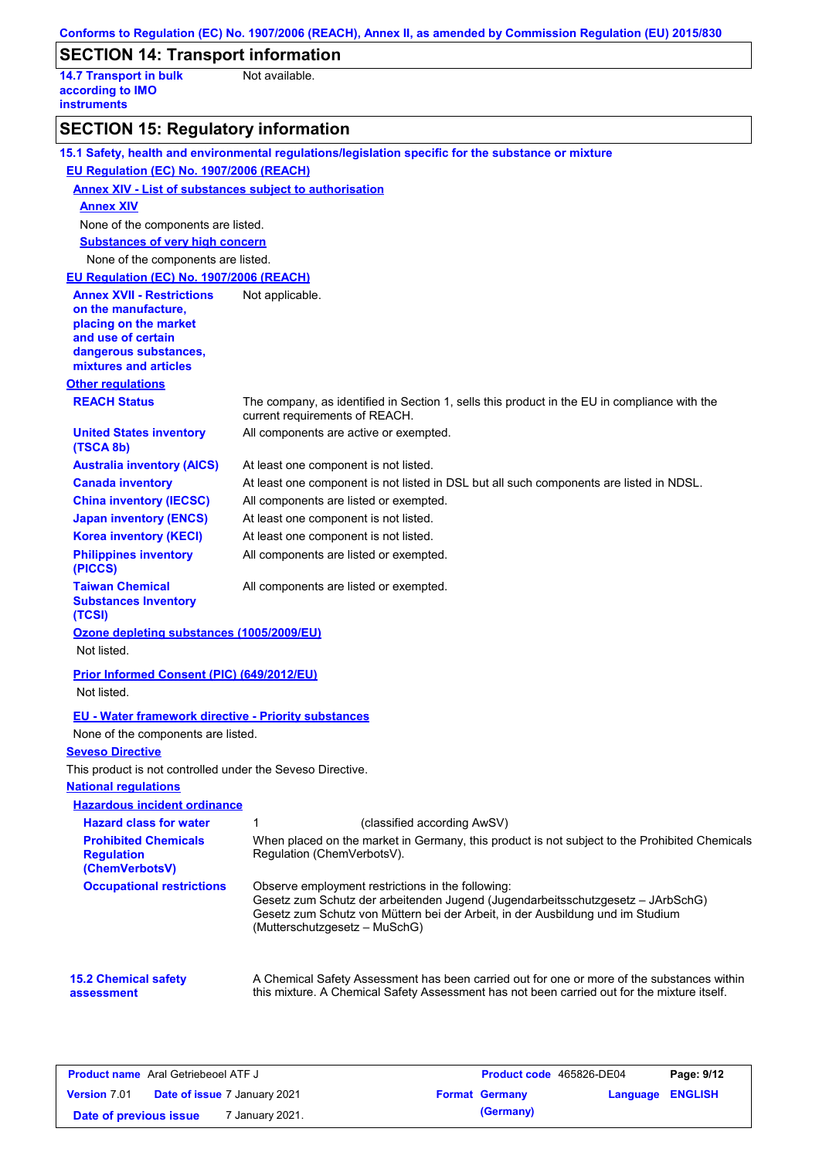|                                                                         | Conforms to Regulation (EC) No. 1907/2006 (REACH), Annex II, as amended by Commission Regulation (EU) 2015/830                                                                                                                                          |
|-------------------------------------------------------------------------|---------------------------------------------------------------------------------------------------------------------------------------------------------------------------------------------------------------------------------------------------------|
| <b>SECTION 14: Transport information</b>                                |                                                                                                                                                                                                                                                         |
| <b>14.7 Transport in bulk</b><br>according to IMO<br><b>instruments</b> | Not available.                                                                                                                                                                                                                                          |
| <b>SECTION 15: Regulatory information</b>                               |                                                                                                                                                                                                                                                         |
|                                                                         | 15.1 Safety, health and environmental regulations/legislation specific for the substance or mixture                                                                                                                                                     |
| EU Regulation (EC) No. 1907/2006 (REACH)                                |                                                                                                                                                                                                                                                         |
| <b>Annex XIV - List of substances subject to authorisation</b>          |                                                                                                                                                                                                                                                         |
| <b>Annex XIV</b>                                                        |                                                                                                                                                                                                                                                         |
| None of the components are listed.                                      |                                                                                                                                                                                                                                                         |
| <b>Substances of very high concern</b>                                  |                                                                                                                                                                                                                                                         |
| None of the components are listed.                                      |                                                                                                                                                                                                                                                         |
| EU Regulation (EC) No. 1907/2006 (REACH)                                |                                                                                                                                                                                                                                                         |
| <b>Annex XVII - Restrictions</b>                                        | Not applicable.                                                                                                                                                                                                                                         |
| on the manufacture,<br>placing on the market<br>and use of certain      |                                                                                                                                                                                                                                                         |
| dangerous substances,<br>mixtures and articles                          |                                                                                                                                                                                                                                                         |
| <b>Other regulations</b>                                                |                                                                                                                                                                                                                                                         |
| <b>REACH Status</b>                                                     | The company, as identified in Section 1, sells this product in the EU in compliance with the<br>current requirements of REACH.                                                                                                                          |
| <b>United States inventory</b><br>(TSCA 8b)                             | All components are active or exempted.                                                                                                                                                                                                                  |
| <b>Australia inventory (AICS)</b>                                       | At least one component is not listed.                                                                                                                                                                                                                   |
| <b>Canada inventory</b>                                                 | At least one component is not listed in DSL but all such components are listed in NDSL.                                                                                                                                                                 |
| <b>China inventory (IECSC)</b>                                          | All components are listed or exempted.                                                                                                                                                                                                                  |
| <b>Japan inventory (ENCS)</b>                                           | At least one component is not listed.                                                                                                                                                                                                                   |
| <b>Korea inventory (KECI)</b>                                           | At least one component is not listed.                                                                                                                                                                                                                   |
| <b>Philippines inventory</b><br>(PICCS)                                 | All components are listed or exempted.                                                                                                                                                                                                                  |
| <b>Taiwan Chemical</b><br><b>Substances Inventory</b><br>(TCSI)         | All components are listed or exempted.                                                                                                                                                                                                                  |
| Ozone depleting substances (1005/2009/EU)                               |                                                                                                                                                                                                                                                         |
| Not listed.                                                             |                                                                                                                                                                                                                                                         |
| Prior Informed Consent (PIC) (649/2012/EU)                              |                                                                                                                                                                                                                                                         |
| Not listed.                                                             |                                                                                                                                                                                                                                                         |
| <b>EU - Water framework directive - Priority substances</b>             |                                                                                                                                                                                                                                                         |
| None of the components are listed.                                      |                                                                                                                                                                                                                                                         |
| <b>Seveso Directive</b>                                                 |                                                                                                                                                                                                                                                         |
| This product is not controlled under the Seveso Directive.              |                                                                                                                                                                                                                                                         |
| <b>National regulations</b>                                             |                                                                                                                                                                                                                                                         |
| <b>Hazardous incident ordinance</b>                                     |                                                                                                                                                                                                                                                         |
| <b>Hazard class for water</b>                                           | (classified according AwSV)<br>1                                                                                                                                                                                                                        |
| <b>Prohibited Chemicals</b><br><b>Regulation</b><br>(ChemVerbotsV)      | When placed on the market in Germany, this product is not subject to the Prohibited Chemicals<br>Regulation (ChemVerbotsV).                                                                                                                             |
| <b>Occupational restrictions</b>                                        | Observe employment restrictions in the following:<br>Gesetz zum Schutz der arbeitenden Jugend (Jugendarbeitsschutzgesetz - JArbSchG)<br>Gesetz zum Schutz von Müttern bei der Arbeit, in der Ausbildung und im Studium<br>(Mutterschutzgesetz - MuSchG) |
| <b>15.2 Chemical safety</b><br>assessment                               | A Chemical Safety Assessment has been carried out for one or more of the substances within<br>this mixture. A Chemical Safety Assessment has not been carried out for the mixture itself.                                                               |

| <b>Product name</b> Aral Getriebeoel ATF J |                                     | <b>Product code</b> 465826-DE04 |                       | Page: 9/12              |  |
|--------------------------------------------|-------------------------------------|---------------------------------|-----------------------|-------------------------|--|
| <b>Version 7.01</b>                        | <b>Date of issue 7 January 2021</b> |                                 | <b>Format Germany</b> | <b>Language ENGLISH</b> |  |
| Date of previous issue                     | ' January 2021.                     |                                 | (Germany)             |                         |  |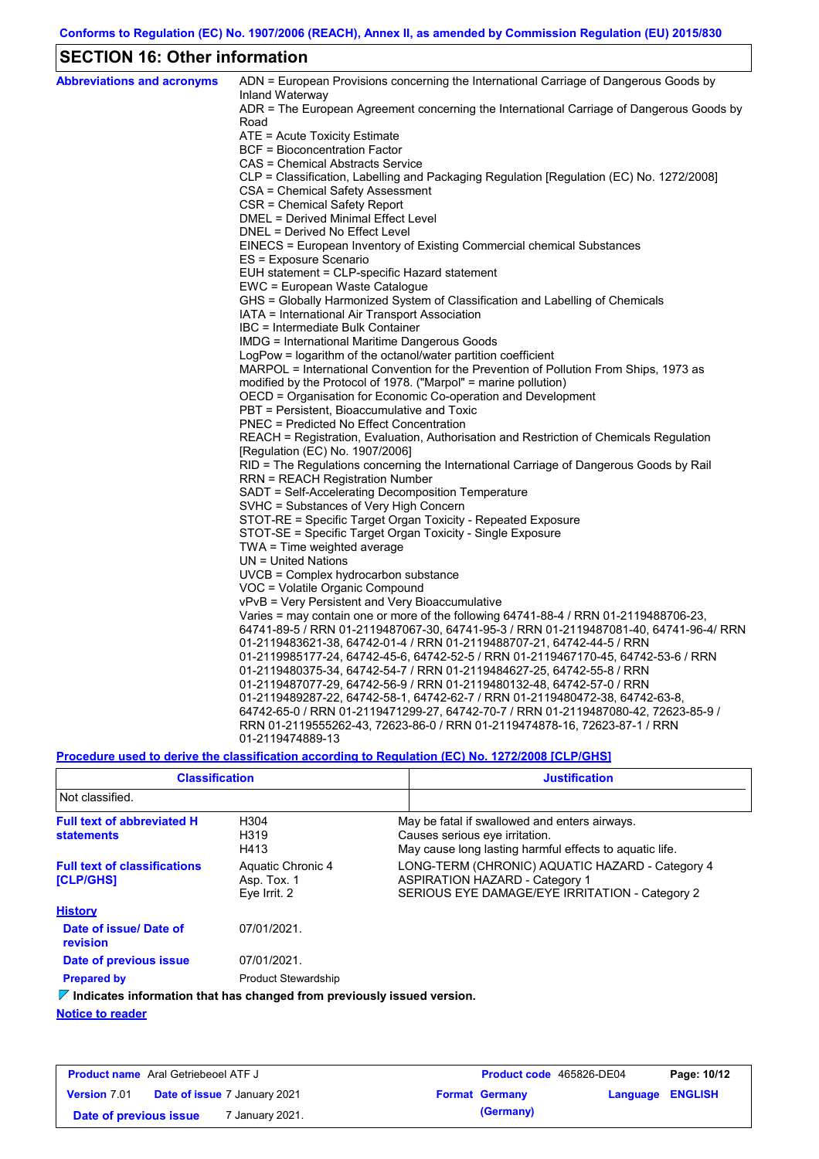## **SECTION 16: Other information**

| <b>Abbreviations and acronyms</b> | ADN = European Provisions concerning the International Carriage of Dangerous Goods by<br>Inland Waterway |
|-----------------------------------|----------------------------------------------------------------------------------------------------------|
|                                   | ADR = The European Agreement concerning the International Carriage of Dangerous Goods by                 |
|                                   | Road                                                                                                     |
|                                   | ATE = Acute Toxicity Estimate                                                                            |
|                                   | BCF = Bioconcentration Factor                                                                            |
|                                   | CAS = Chemical Abstracts Service                                                                         |
|                                   | CLP = Classification, Labelling and Packaging Regulation [Regulation (EC) No. 1272/2008]                 |
|                                   | CSA = Chemical Safety Assessment                                                                         |
|                                   | CSR = Chemical Safety Report<br>DMEL = Derived Minimal Effect Level                                      |
|                                   |                                                                                                          |
|                                   | DNEL = Derived No Effect Level                                                                           |
|                                   | EINECS = European Inventory of Existing Commercial chemical Substances<br>ES = Exposure Scenario         |
|                                   | EUH statement = CLP-specific Hazard statement                                                            |
|                                   | EWC = European Waste Catalogue                                                                           |
|                                   | GHS = Globally Harmonized System of Classification and Labelling of Chemicals                            |
|                                   | IATA = International Air Transport Association                                                           |
|                                   | IBC = Intermediate Bulk Container                                                                        |
|                                   | IMDG = International Maritime Dangerous Goods                                                            |
|                                   | LogPow = logarithm of the octanol/water partition coefficient                                            |
|                                   | MARPOL = International Convention for the Prevention of Pollution From Ships, 1973 as                    |
|                                   | modified by the Protocol of 1978. ("Marpol" = marine pollution)                                          |
|                                   | OECD = Organisation for Economic Co-operation and Development                                            |
|                                   | PBT = Persistent, Bioaccumulative and Toxic                                                              |
|                                   | PNEC = Predicted No Effect Concentration                                                                 |
|                                   | REACH = Registration, Evaluation, Authorisation and Restriction of Chemicals Regulation                  |
|                                   | [Regulation (EC) No. 1907/2006]                                                                          |
|                                   | RID = The Regulations concerning the International Carriage of Dangerous Goods by Rail                   |
|                                   | <b>RRN = REACH Registration Number</b>                                                                   |
|                                   | SADT = Self-Accelerating Decomposition Temperature                                                       |
|                                   | SVHC = Substances of Very High Concern                                                                   |
|                                   | STOT-RE = Specific Target Organ Toxicity - Repeated Exposure                                             |
|                                   | STOT-SE = Specific Target Organ Toxicity - Single Exposure                                               |
|                                   | TWA = Time weighted average                                                                              |
|                                   | $UN = United Nations$                                                                                    |
|                                   | UVCB = Complex hydrocarbon substance                                                                     |
|                                   | VOC = Volatile Organic Compound                                                                          |
|                                   | vPvB = Very Persistent and Very Bioaccumulative                                                          |
|                                   | Varies = may contain one or more of the following $64741-88-4$ / RRN 01-2119488706-23,                   |
|                                   | 64741-89-5 / RRN 01-2119487067-30, 64741-95-3 / RRN 01-2119487081-40, 64741-96-4/ RRN                    |
|                                   | 01-2119483621-38, 64742-01-4 / RRN 01-2119488707-21, 64742-44-5 / RRN                                    |
|                                   | 01-2119985177-24, 64742-45-6, 64742-52-5 / RRN 01-2119467170-45, 64742-53-6 / RRN                        |
|                                   | 01-2119480375-34, 64742-54-7 / RRN 01-2119484627-25, 64742-55-8 / RRN                                    |
|                                   | 01-2119487077-29, 64742-56-9 / RRN 01-2119480132-48, 64742-57-0 / RRN                                    |
|                                   | 01-2119489287-22, 64742-58-1, 64742-62-7 / RRN 01-2119480472-38, 64742-63-8,                             |
|                                   | 64742-65-0 / RRN 01-2119471299-27, 64742-70-7 / RRN 01-2119487080-42, 72623-85-9 /                       |
|                                   | RRN 01-2119555262-43, 72623-86-0 / RRN 01-2119474878-16, 72623-87-1 / RRN                                |
|                                   | 01-2119474889-13                                                                                         |

**Procedure used to derive the classification according to Regulation (EC) No. 1272/2008 [CLP/GHS]**

| <b>Classification</b>                                                           |                                                  | <b>Justification</b>                                                                                                                       |
|---------------------------------------------------------------------------------|--------------------------------------------------|--------------------------------------------------------------------------------------------------------------------------------------------|
| Not classified.                                                                 |                                                  |                                                                                                                                            |
| <b>Full text of abbreviated H</b><br><b>statements</b>                          | H304<br>H319<br>H413                             | May be fatal if swallowed and enters airways.<br>Causes serious eye irritation.<br>May cause long lasting harmful effects to aquatic life. |
| <b>Full text of classifications</b><br><b>[CLP/GHS]</b>                         | Aquatic Chronic 4<br>Asp. Tox. 1<br>Eye Irrit. 2 | LONG-TERM (CHRONIC) AQUATIC HAZARD - Category 4<br><b>ASPIRATION HAZARD - Category 1</b><br>SERIOUS EYE DAMAGE/EYE IRRITATION - Category 2 |
| <b>History</b>                                                                  |                                                  |                                                                                                                                            |
| Date of issue/Date of<br>revision                                               | 07/01/2021.                                      |                                                                                                                                            |
| Date of previous issue                                                          | 07/01/2021.                                      |                                                                                                                                            |
| <b>Prepared by</b>                                                              | <b>Product Stewardship</b>                       |                                                                                                                                            |
| $\nabla$ Indicates information that has changed from previously issued version. |                                                  |                                                                                                                                            |
|                                                                                 |                                                  |                                                                                                                                            |

**Notice to reader**

| <b>Product name</b> Aral Getriebeoel ATF J       |  | <b>Product code</b> 465826-DE04 |  | Page: 10/12           |                  |  |
|--------------------------------------------------|--|---------------------------------|--|-----------------------|------------------|--|
| <b>Version 7.01 Date of issue 7 January 2021</b> |  |                                 |  | <b>Format Germany</b> | Language ENGLISH |  |
| Date of previous issue                           |  | <sup>7</sup> January 2021.      |  | (Germany)             |                  |  |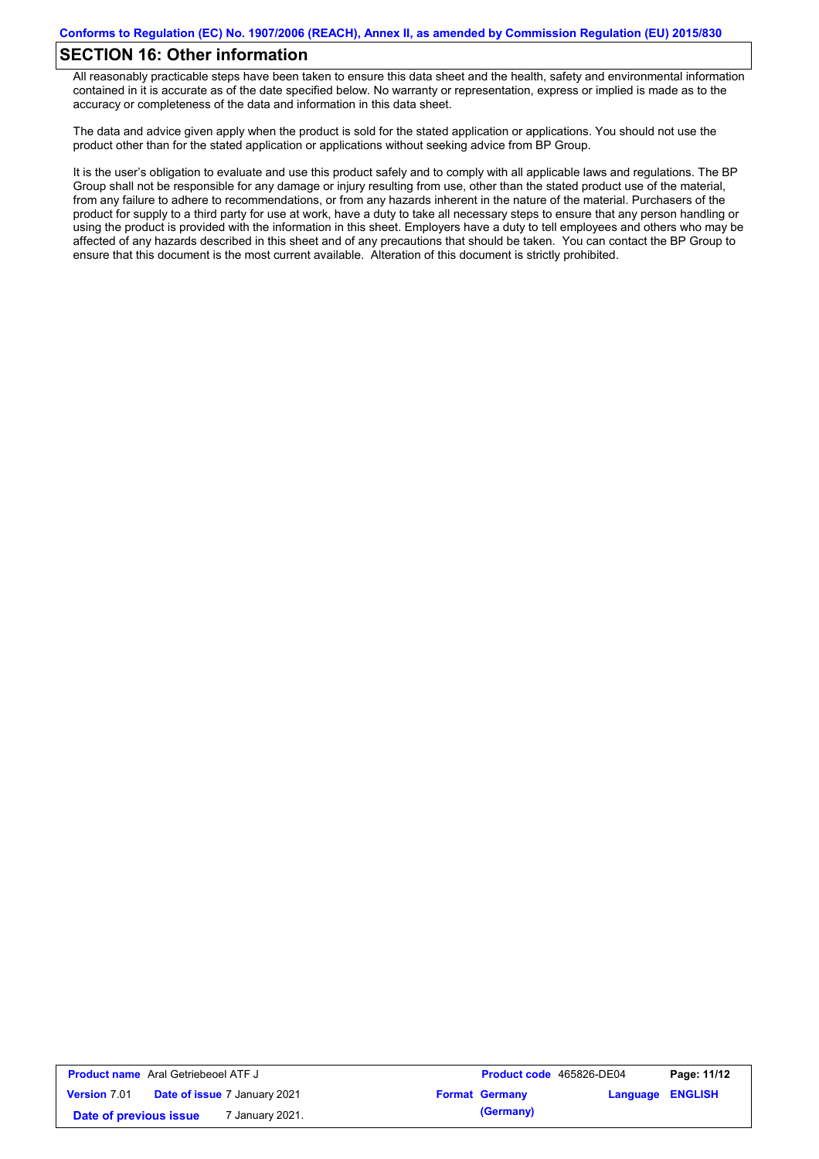## **SECTION 16: Other information**

All reasonably practicable steps have been taken to ensure this data sheet and the health, safety and environmental information contained in it is accurate as of the date specified below. No warranty or representation, express or implied is made as to the accuracy or completeness of the data and information in this data sheet.

The data and advice given apply when the product is sold for the stated application or applications. You should not use the product other than for the stated application or applications without seeking advice from BP Group.

It is the user's obligation to evaluate and use this product safely and to comply with all applicable laws and regulations. The BP Group shall not be responsible for any damage or injury resulting from use, other than the stated product use of the material, from any failure to adhere to recommendations, or from any hazards inherent in the nature of the material. Purchasers of the product for supply to a third party for use at work, have a duty to take all necessary steps to ensure that any person handling or using the product is provided with the information in this sheet. Employers have a duty to tell employees and others who may be affected of any hazards described in this sheet and of any precautions that should be taken. You can contact the BP Group to ensure that this document is the most current available. Alteration of this document is strictly prohibited.

| <b>Product name</b> Aral Getriebeoel ATF J |                                     | Product code 465826-DE04 |                         | Page: 11/12 |
|--------------------------------------------|-------------------------------------|--------------------------|-------------------------|-------------|
| <b>Version 7.01</b>                        | <b>Date of issue 7 January 2021</b> | <b>Format Germany</b>    | <b>Language ENGLISH</b> |             |
| Date of previous issue                     | ' January 2021.                     | (Germany)                |                         |             |